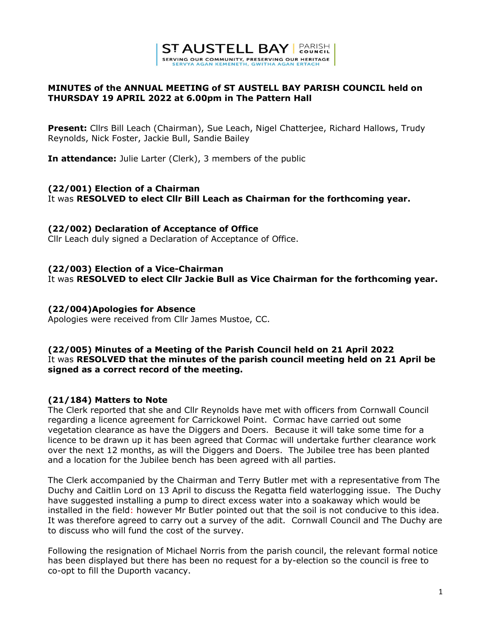

## MINUTES of the ANNUAL MEETING of ST AUSTELL BAY PARISH COUNCIL held on THURSDAY 19 APRIL 2022 at 6.00pm in The Pattern Hall

Present: Cllrs Bill Leach (Chairman), Sue Leach, Nigel Chatterjee, Richard Hallows, Trudy Reynolds, Nick Foster, Jackie Bull, Sandie Bailey

In attendance: Julie Larter (Clerk), 3 members of the public

## (22/001) Election of a Chairman

It was RESOLVED to elect Cllr Bill Leach as Chairman for the forthcoming year.

#### (22/002) Declaration of Acceptance of Office

Cllr Leach duly signed a Declaration of Acceptance of Office.

## (22/003) Election of a Vice-Chairman It was RESOLVED to elect Cllr Jackie Bull as Vice Chairman for the forthcoming year.

## (22/004)Apologies for Absence

Apologies were received from Cllr James Mustoe, CC.

## (22/005) Minutes of a Meeting of the Parish Council held on 21 April 2022 It was RESOLVED that the minutes of the parish council meeting held on 21 April be signed as a correct record of the meeting.

## (21/184) Matters to Note

The Clerk reported that she and Cllr Reynolds have met with officers from Cornwall Council regarding a licence agreement for Carrickowel Point. Cormac have carried out some vegetation clearance as have the Diggers and Doers. Because it will take some time for a licence to be drawn up it has been agreed that Cormac will undertake further clearance work over the next 12 months, as will the Diggers and Doers. The Jubilee tree has been planted and a location for the Jubilee bench has been agreed with all parties.

The Clerk accompanied by the Chairman and Terry Butler met with a representative from The Duchy and Caitlin Lord on 13 April to discuss the Regatta field waterlogging issue. The Duchy have suggested installing a pump to direct excess water into a soakaway which would be installed in the field: however Mr Butler pointed out that the soil is not conducive to this idea. It was therefore agreed to carry out a survey of the adit. Cornwall Council and The Duchy are to discuss who will fund the cost of the survey.

Following the resignation of Michael Norris from the parish council, the relevant formal notice has been displayed but there has been no request for a by-election so the council is free to co-opt to fill the Duporth vacancy.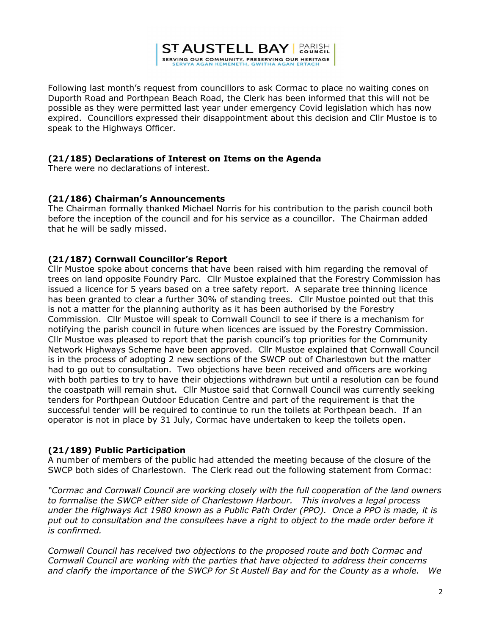

Following last month's request from councillors to ask Cormac to place no waiting cones on Duporth Road and Porthpean Beach Road, the Clerk has been informed that this will not be possible as they were permitted last year under emergency Covid legislation which has now expired. Councillors expressed their disappointment about this decision and Cllr Mustoe is to speak to the Highways Officer.

#### (21/185) Declarations of Interest on Items on the Agenda

There were no declarations of interest.

#### (21/186) Chairman's Announcements

The Chairman formally thanked Michael Norris for his contribution to the parish council both before the inception of the council and for his service as a councillor. The Chairman added that he will be sadly missed.

## (21/187) Cornwall Councillor's Report

Cllr Mustoe spoke about concerns that have been raised with him regarding the removal of trees on land opposite Foundry Parc. Cllr Mustoe explained that the Forestry Commission has issued a licence for 5 years based on a tree safety report. A separate tree thinning licence has been granted to clear a further 30% of standing trees. Cllr Mustoe pointed out that this is not a matter for the planning authority as it has been authorised by the Forestry Commission. Cllr Mustoe will speak to Cornwall Council to see if there is a mechanism for notifying the parish council in future when licences are issued by the Forestry Commission. Cllr Mustoe was pleased to report that the parish council's top priorities for the Community Network Highways Scheme have been approved. Cllr Mustoe explained that Cornwall Council is in the process of adopting 2 new sections of the SWCP out of Charlestown but the matter had to go out to consultation. Two objections have been received and officers are working with both parties to try to have their objections withdrawn but until a resolution can be found the coastpath will remain shut. Cllr Mustoe said that Cornwall Council was currently seeking tenders for Porthpean Outdoor Education Centre and part of the requirement is that the successful tender will be required to continue to run the toilets at Porthpean beach. If an operator is not in place by 31 July, Cormac have undertaken to keep the toilets open.

#### (21/189) Public Participation

A number of members of the public had attended the meeting because of the closure of the SWCP both sides of Charlestown. The Clerk read out the following statement from Cormac:

"Cormac and Cornwall Council are working closely with the full cooperation of the land owners to formalise the SWCP either side of Charlestown Harbour. This involves a legal process under the Highways Act 1980 known as a Public Path Order (PPO). Once a PPO is made, it is put out to consultation and the consultees have a right to object to the made order before it is confirmed.

Cornwall Council has received two objections to the proposed route and both Cormac and Cornwall Council are working with the parties that have objected to address their concerns and clarify the importance of the SWCP for St Austell Bay and for the County as a whole. We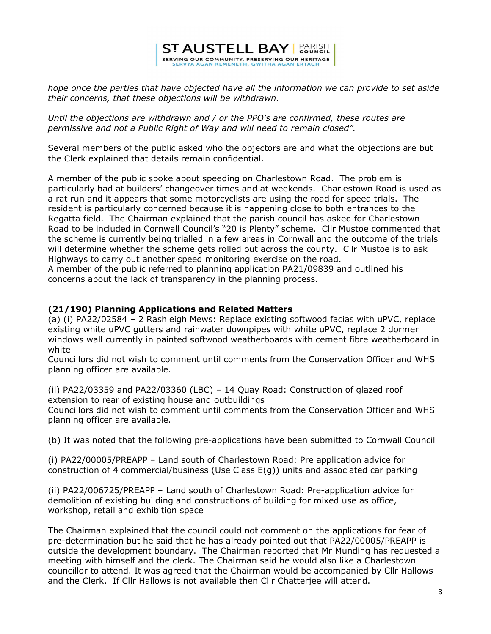# **ST AUSTELL BAY | PARISH** SERVING OUR COMMUNITY, PRESERVING OUR HERITAGE

hope once the parties that have objected have all the information we can provide to set aside their concerns, that these objections will be withdrawn.

Until the objections are withdrawn and / or the PPO's are confirmed, these routes are permissive and not a Public Right of Way and will need to remain closed".

Several members of the public asked who the objectors are and what the objections are but the Clerk explained that details remain confidential.

A member of the public spoke about speeding on Charlestown Road. The problem is particularly bad at builders' changeover times and at weekends. Charlestown Road is used as a rat run and it appears that some motorcyclists are using the road for speed trials. The resident is particularly concerned because it is happening close to both entrances to the Regatta field. The Chairman explained that the parish council has asked for Charlestown Road to be included in Cornwall Council's "20 is Plenty" scheme. Cllr Mustoe commented that the scheme is currently being trialled in a few areas in Cornwall and the outcome of the trials will determine whether the scheme gets rolled out across the county. Cllr Mustoe is to ask Highways to carry out another speed monitoring exercise on the road.

A member of the public referred to planning application PA21/09839 and outlined his concerns about the lack of transparency in the planning process.

#### (21/190) Planning Applications and Related Matters

(a) (i) PA22/02584 – 2 Rashleigh Mews: Replace existing softwood facias with uPVC, replace existing white uPVC gutters and rainwater downpipes with white uPVC, replace 2 dormer windows wall currently in painted softwood weatherboards with cement fibre weatherboard in white

Councillors did not wish to comment until comments from the Conservation Officer and WHS planning officer are available.

(ii) PA22/03359 and PA22/03360 (LBC) – 14 Quay Road: Construction of glazed roof extension to rear of existing house and outbuildings

Councillors did not wish to comment until comments from the Conservation Officer and WHS planning officer are available.

(b) It was noted that the following pre-applications have been submitted to Cornwall Council

(i) PA22/00005/PREAPP – Land south of Charlestown Road: Pre application advice for construction of 4 commercial/business (Use Class E(g)) units and associated car parking

(ii) PA22/006725/PREAPP – Land south of Charlestown Road: Pre-application advice for demolition of existing building and constructions of building for mixed use as office, workshop, retail and exhibition space

The Chairman explained that the council could not comment on the applications for fear of pre-determination but he said that he has already pointed out that PA22/00005/PREAPP is outside the development boundary. The Chairman reported that Mr Munding has requested a meeting with himself and the clerk. The Chairman said he would also like a Charlestown councillor to attend. It was agreed that the Chairman would be accompanied by Cllr Hallows and the Clerk. If Cllr Hallows is not available then Cllr Chatterjee will attend.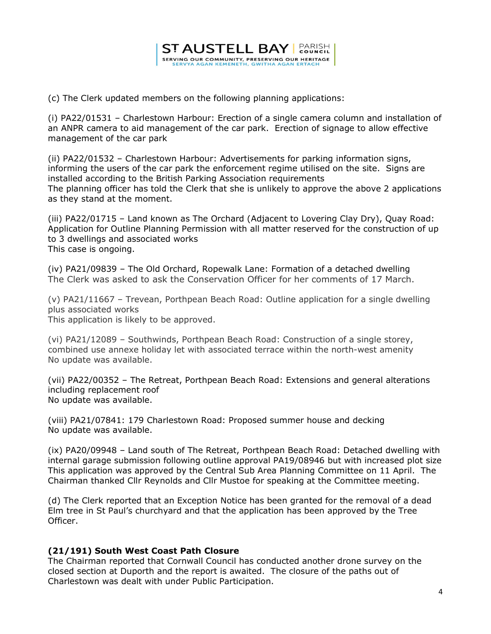

(c) The Clerk updated members on the following planning applications:

(i) PA22/01531 – Charlestown Harbour: Erection of a single camera column and installation of an ANPR camera to aid management of the car park. Erection of signage to allow effective management of the car park

(ii) PA22/01532 – Charlestown Harbour: Advertisements for parking information signs, informing the users of the car park the enforcement regime utilised on the site. Signs are installed according to the British Parking Association requirements The planning officer has told the Clerk that she is unlikely to approve the above 2 applications as they stand at the moment.

(iii) PA22/01715 – Land known as The Orchard (Adjacent to Lovering Clay Dry), Quay Road: Application for Outline Planning Permission with all matter reserved for the construction of up to 3 dwellings and associated works This case is ongoing.

(iv) PA21/09839 – The Old Orchard, Ropewalk Lane: Formation of a detached dwelling The Clerk was asked to ask the Conservation Officer for her comments of 17 March.

(v) PA21/11667 – Trevean, Porthpean Beach Road: Outline application for a single dwelling plus associated works This application is likely to be approved.

(vi) PA21/12089 – Southwinds, Porthpean Beach Road: Construction of a single storey, combined use annexe holiday let with associated terrace within the north-west amenity No update was available.

(vii) PA22/00352 – The Retreat, Porthpean Beach Road: Extensions and general alterations including replacement roof No update was available.

(viii) PA21/07841: 179 Charlestown Road: Proposed summer house and decking No update was available.

(ix) PA20/09948 – Land south of The Retreat, Porthpean Beach Road: Detached dwelling with internal garage submission following outline approval PA19/08946 but with increased plot size This application was approved by the Central Sub Area Planning Committee on 11 April. The Chairman thanked Cllr Reynolds and Cllr Mustoe for speaking at the Committee meeting.

(d) The Clerk reported that an Exception Notice has been granted for the removal of a dead Elm tree in St Paul's churchyard and that the application has been approved by the Tree Officer.

#### (21/191) South West Coast Path Closure

The Chairman reported that Cornwall Council has conducted another drone survey on the closed section at Duporth and the report is awaited. The closure of the paths out of Charlestown was dealt with under Public Participation.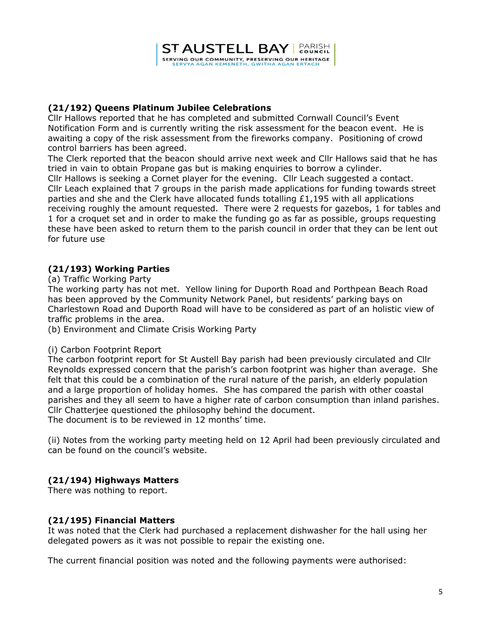## (21/192) Queens Platinum Jubilee Celebrations

Cllr Hallows reported that he has completed and submitted Cornwall Council's Event Notification Form and is currently writing the risk assessment for the beacon event. He is awaiting a copy of the risk assessment from the fireworks company. Positioning of crowd control barriers has been agreed.

The Clerk reported that the beacon should arrive next week and Cllr Hallows said that he has tried in vain to obtain Propane gas but is making enquiries to borrow a cylinder.

Cllr Hallows is seeking a Cornet player for the evening. Cllr Leach suggested a contact. Cllr Leach explained that 7 groups in the parish made applications for funding towards street parties and she and the Clerk have allocated funds totalling  $£1,195$  with all applications receiving roughly the amount requested. There were 2 requests for gazebos, 1 for tables and 1 for a croquet set and in order to make the funding go as far as possible, groups requesting these have been asked to return them to the parish council in order that they can be lent out for future use

## (21/193) Working Parties

(a) Traffic Working Party

The working party has not met. Yellow lining for Duporth Road and Porthpean Beach Road has been approved by the Community Network Panel, but residents' parking bays on Charlestown Road and Duporth Road will have to be considered as part of an holistic view of traffic problems in the area.

(b) Environment and Climate Crisis Working Party

## (i) Carbon Footprint Report

The carbon footprint report for St Austell Bay parish had been previously circulated and Cllr Reynolds expressed concern that the parish's carbon footprint was higher than average. She felt that this could be a combination of the rural nature of the parish, an elderly population and a large proportion of holiday homes. She has compared the parish with other coastal parishes and they all seem to have a higher rate of carbon consumption than inland parishes. Cllr Chatterjee questioned the philosophy behind the document. The document is to be reviewed in 12 months' time.

(ii) Notes from the working party meeting held on 12 April had been previously circulated and can be found on the council's website.

## (21/194) Highways Matters

There was nothing to report.

## (21/195) Financial Matters

It was noted that the Clerk had purchased a replacement dishwasher for the hall using her delegated powers as it was not possible to repair the existing one.

The current financial position was noted and the following payments were authorised: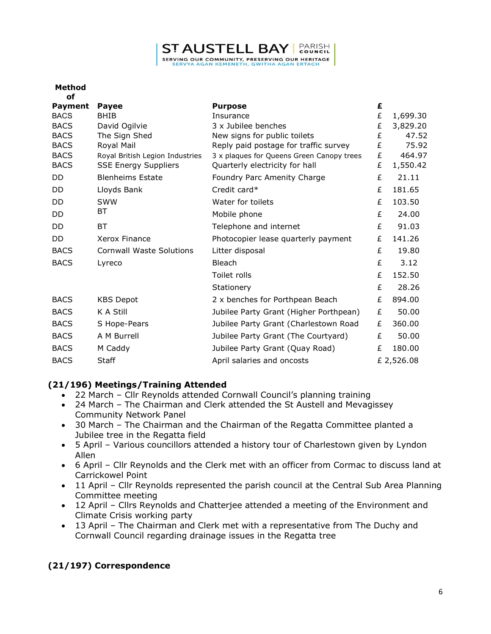# **ST AUSTELL BAY | PARISH**

SERVING OUR COMMUNITY, PRESERVING OUR HERITAGE

| Method |  |
|--------|--|
|        |  |

| οf             |                                 |                                           |   |            |
|----------------|---------------------------------|-------------------------------------------|---|------------|
| <b>Payment</b> | <b>Payee</b>                    | <b>Purpose</b>                            | £ |            |
| <b>BACS</b>    | <b>BHIB</b>                     | Insurance                                 | £ | 1,699.30   |
| <b>BACS</b>    | David Ogilvie                   | 3 x Jubilee benches                       | £ | 3,829.20   |
| <b>BACS</b>    | The Sign Shed                   | New signs for public toilets              | £ | 47.52      |
| <b>BACS</b>    | Royal Mail                      | Reply paid postage for traffic survey     | £ | 75.92      |
| <b>BACS</b>    | Royal British Legion Industries | 3 x plaques for Queens Green Canopy trees | £ | 464.97     |
| <b>BACS</b>    | <b>SSE Energy Suppliers</b>     | Quarterly electricity for hall            | £ | 1,550.42   |
| DD             | <b>Blenheims Estate</b>         | Foundry Parc Amenity Charge               | £ | 21.11      |
| DD.            | Lloyds Bank                     | Credit card*                              | £ | 181.65     |
| <b>DD</b>      | SWW                             | Water for toilets                         | £ | 103.50     |
| DD             | BT                              | Mobile phone                              | £ | 24.00      |
| DD             | <b>BT</b>                       | Telephone and internet                    | £ | 91.03      |
| <b>DD</b>      | Xerox Finance                   | Photocopier lease quarterly payment       | £ | 141.26     |
| <b>BACS</b>    | <b>Cornwall Waste Solutions</b> | Litter disposal                           | £ | 19.80      |
| <b>BACS</b>    | Lyreco                          | <b>Bleach</b>                             | £ | 3.12       |
|                |                                 | Toilet rolls                              | £ | 152.50     |
|                |                                 | Stationery                                | £ | 28.26      |
| <b>BACS</b>    | <b>KBS Depot</b>                | 2 x benches for Porthpean Beach           | £ | 894.00     |
| <b>BACS</b>    | K A Still                       | Jubilee Party Grant (Higher Porthpean)    | £ | 50.00      |
| <b>BACS</b>    | S Hope-Pears                    | Jubilee Party Grant (Charlestown Road     | £ | 360.00     |
| <b>BACS</b>    | A M Burrell                     | Jubilee Party Grant (The Courtyard)       | £ | 50.00      |
| <b>BACS</b>    | M Caddy                         | Jubilee Party Grant (Quay Road)           | £ | 180.00     |
| <b>BACS</b>    | <b>Staff</b>                    | April salaries and oncosts                |   | £ 2,526.08 |

## (21/196) Meetings/Training Attended

- 22 March Cllr Reynolds attended Cornwall Council's planning training
- 24 March The Chairman and Clerk attended the St Austell and Mevagissey Community Network Panel
- 30 March The Chairman and the Chairman of the Regatta Committee planted a Jubilee tree in the Regatta field
- 5 April Various councillors attended a history tour of Charlestown given by Lyndon Allen
- 6 April Cllr Reynolds and the Clerk met with an officer from Cormac to discuss land at Carrickowel Point
- 11 April Cllr Reynolds represented the parish council at the Central Sub Area Planning Committee meeting
- 12 April Cllrs Reynolds and Chatterjee attended a meeting of the Environment and Climate Crisis working party
- 13 April The Chairman and Clerk met with a representative from The Duchy and Cornwall Council regarding drainage issues in the Regatta tree

# (21/197) Correspondence